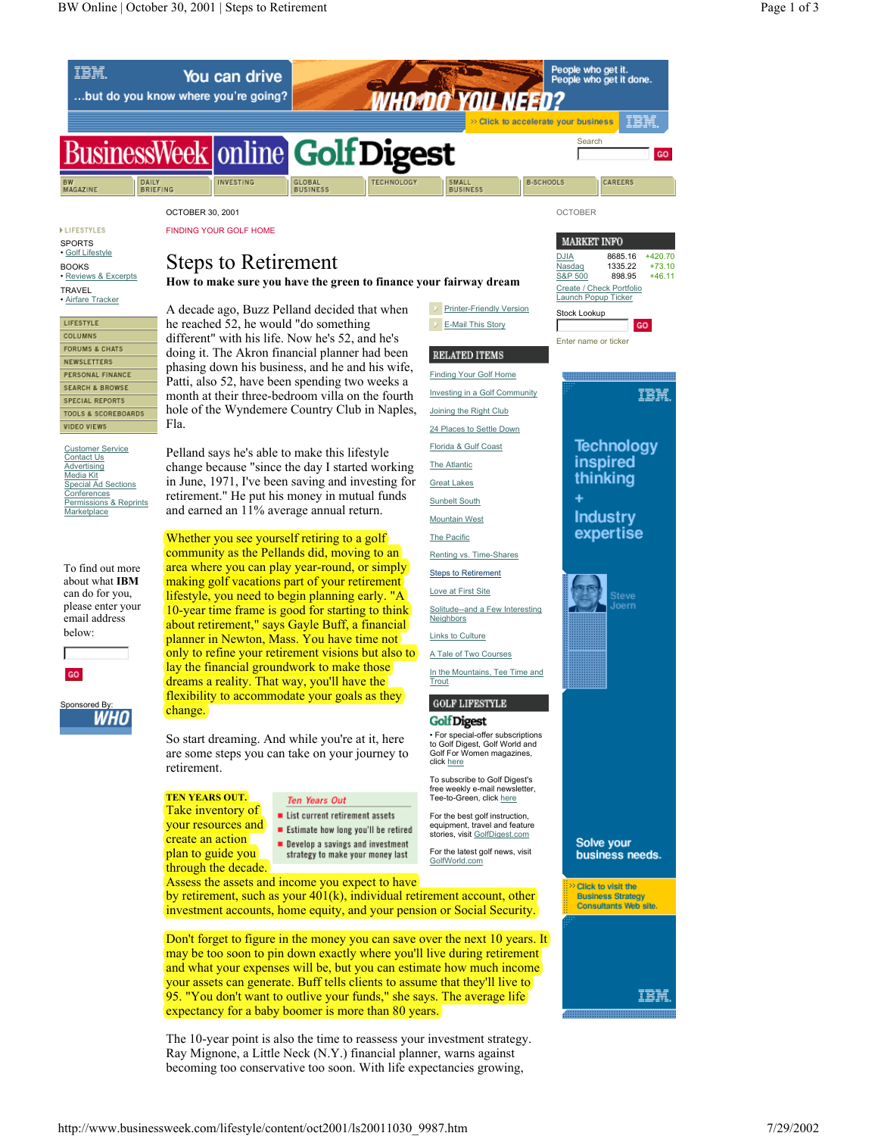